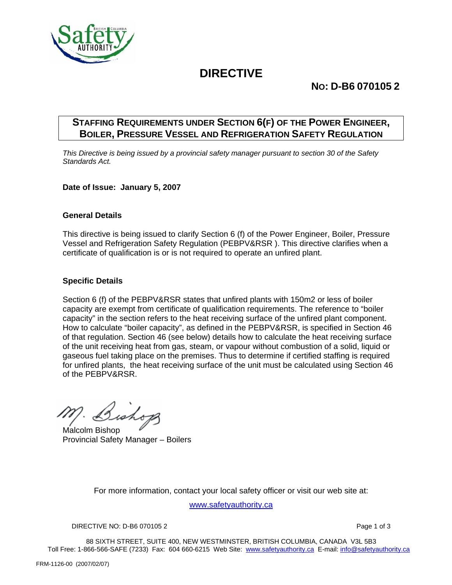

# **DIRECTIVE**

## **NO: D-B6 070105 2**

### **STAFFING REQUIREMENTS UNDER SECTION 6(F) OF THE POWER ENGINEER, BOILER, PRESSURE VESSEL AND REFRIGERATION SAFETY REGULATION**

*This Directive is being issued by a provincial safety manager pursuant to section 30 of the Safety Standards Act.* 

### **Date of Issue: January 5, 2007**

### **General Details**

This directive is being issued to clarify Section 6 (f) of the Power Engineer, Boiler, Pressure Vessel and Refrigeration Safety Regulation (PEBPV&RSR ). This directive clarifies when a certificate of qualification is or is not required to operate an unfired plant.

### **Specific Details**

Section 6 (f) of the PEBPV&RSR states that unfired plants with 150m2 or less of boiler capacity are exempt from certificate of qualification requirements. The reference to "boiler capacity" in the section refers to the heat receiving surface of the unfired plant component. How to calculate "boiler capacity", as defined in the PEBPV&RSR, is specified in Section 46 of that regulation. Section 46 (see below) details how to calculate the heat receiving surface of the unit receiving heat from gas, steam, or vapour without combustion of a solid, liquid or gaseous fuel taking place on the premises. Thus to determine if certified staffing is required for unfired plants, the heat receiving surface of the unit must be calculated using Section 46 of the PEBPV&RSR.

Bishop

Malcolm Bishop Provincial Safety Manager – Boilers

For more information, contact your local safety officer or visit our web site at:

www.safetyauthority.ca

DIRECTIVE NO: D-B6 070105 2 Page 1 of 3

88 SIXTH STREET, SUITE 400, NEW WESTMINSTER, BRITISH COLUMBIA, CANADA V3L 5B3 Toll Free: 1-866-566-SAFE (7233) Fax: 604 660-6215 Web Site: www.safetyauthority.ca E-mail: info@safetyauthority.ca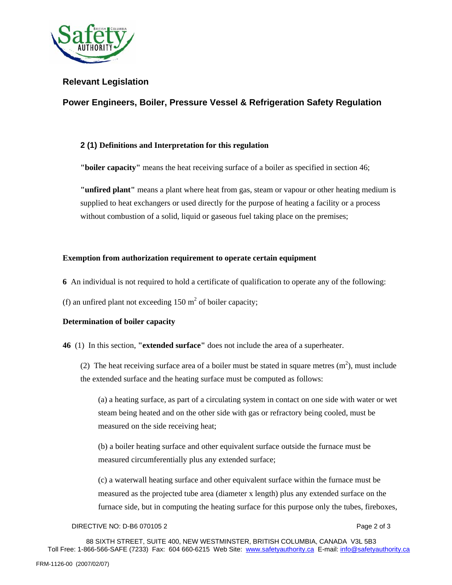

### **Relevant Legislation**

### **Power Engineers, Boiler, Pressure Vessel & Refrigeration Safety Regulation**

### **2 (1) Definitions and Interpretation for this regulation**

**"boiler capacity"** means the heat receiving surface of a boiler as specified in section 46;

**"unfired plant"** means a plant where heat from gas, steam or vapour or other heating medium is supplied to heat exchangers or used directly for the purpose of heating a facility or a process without combustion of a solid, liquid or gaseous fuel taking place on the premises;

### **Exemption from authorization requirement to operate certain equipment**

- **6** An individual is not required to hold a certificate of qualification to operate any of the following:
- (f) an unfired plant not exceeding  $150 \text{ m}^2$  of boiler capacity;

### **Determination of boiler capacity**

- **46** (1) In this section, **"extended surface"** does not include the area of a superheater.
	- (2) The heat receiving surface area of a boiler must be stated in square metres  $(m<sup>2</sup>)$ , must include the extended surface and the heating surface must be computed as follows:

(a) a heating surface, as part of a circulating system in contact on one side with water or wet steam being heated and on the other side with gas or refractory being cooled, must be measured on the side receiving heat;

(b) a boiler heating surface and other equivalent surface outside the furnace must be measured circumferentially plus any extended surface;

(c) a waterwall heating surface and other equivalent surface within the furnace must be measured as the projected tube area (diameter x length) plus any extended surface on the furnace side, but in computing the heating surface for this purpose only the tubes, fireboxes,

#### DIRECTIVE NO: D-B6 070105 2 Page 2 of 3

88 SIXTH STREET, SUITE 400, NEW WESTMINSTER, BRITISH COLUMBIA, CANADA V3L 5B3 Toll Free: 1-866-566-SAFE (7233) Fax: 604 660-6215 Web Site: www.safetyauthority.ca E-mail: info@safetyauthority.ca